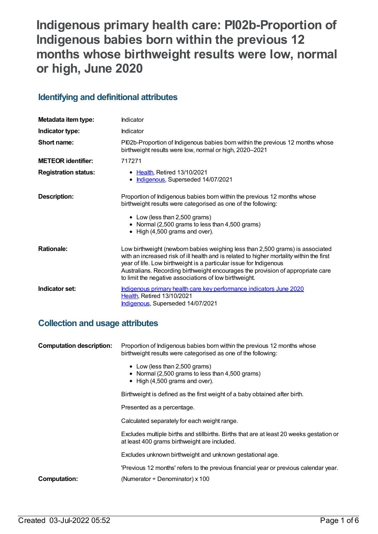# **Indigenous primary health care: PI02b-Proportion of Indigenous babies born within the previous 12 months whose birthweight results were low, normal or high, June 2020**

## **Identifying and definitional attributes**

| Metadata item type:         | Indicator                                                                                                                                                                                                                                                                                                                                                                                    |
|-----------------------------|----------------------------------------------------------------------------------------------------------------------------------------------------------------------------------------------------------------------------------------------------------------------------------------------------------------------------------------------------------------------------------------------|
| Indicator type:             | Indicator                                                                                                                                                                                                                                                                                                                                                                                    |
| Short name:                 | PI02b-Proportion of Indigenous babies born within the previous 12 months whose<br>birthweight results were low, normal or high, 2020-2021                                                                                                                                                                                                                                                    |
| <b>METEOR</b> identifier:   | 717271                                                                                                                                                                                                                                                                                                                                                                                       |
| <b>Registration status:</b> | • Health, Retired 13/10/2021<br>Indigenous, Superseded 14/07/2021                                                                                                                                                                                                                                                                                                                            |
| Description:                | Proportion of Indigenous babies born within the previous 12 months whose<br>birthweight results were categorised as one of the following:<br>• Low (less than 2,500 grams)<br>• Normal (2,500 grams to less than 4,500 grams)<br>• High (4,500 grams and over).                                                                                                                              |
| <b>Rationale:</b>           | Low birthweight (newborn babies weighing less than 2,500 grams) is associated<br>with an increased risk of ill health and is related to higher mortality within the first<br>year of life. Low birthweight is a particular issue for Indigenous<br>Australians. Recording birthweight encourages the provision of appropriate care<br>to limit the negative associations of low birthweight. |
| Indicator set:              | Indigenous primary health care key performance indicators June 2020<br>Health, Retired 13/10/2021<br>Indigenous, Superseded 14/07/2021                                                                                                                                                                                                                                                       |

## **Collection and usage attributes**

| <b>Computation description:</b> | Proportion of Indigenous babies born within the previous 12 months whose<br>birthweight results were categorised as one of the following:                                                                              |  |
|---------------------------------|------------------------------------------------------------------------------------------------------------------------------------------------------------------------------------------------------------------------|--|
|                                 | • Low (less than 2,500 grams)<br>• Normal (2,500 grams to less than 4,500 grams)<br>$\bullet$ High (4,500 grams and over).                                                                                             |  |
|                                 | Birthweight is defined as the first weight of a baby obtained after birth.                                                                                                                                             |  |
|                                 | Presented as a percentage.<br>Calculated separately for each weight range.<br>Excludes multiple births and stillbirths. Births that are at least 20 weeks gestation or<br>at least 400 grams birthweight are included. |  |
|                                 |                                                                                                                                                                                                                        |  |
|                                 |                                                                                                                                                                                                                        |  |
|                                 | Excludes unknown birthweight and unknown gestational age.                                                                                                                                                              |  |
|                                 | 'Previous 12 months' refers to the previous financial year or previous calendar year.                                                                                                                                  |  |
| <b>Computation:</b>             | (Numerator $\div$ Denominator) x 100                                                                                                                                                                                   |  |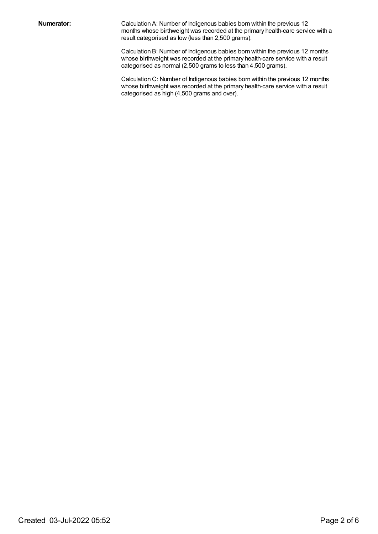**Numerator:** Calculation A: Number of Indigenous babies born within the previous 12 months whose birthweight was recorded at the primary health-care service with a result categorised as low (less than 2,500 grams).

> Calculation B: Number of Indigenous babies born within the previous 12 months whose birthweight was recorded at the primary health-care service with a result categorised as normal (2,500 grams to less than 4,500 grams).

> Calculation C: Number of Indigenous babies born within the previous 12 months whose birthweight was recorded at the primary health-care service with a result categorised as high (4,500 grams and over).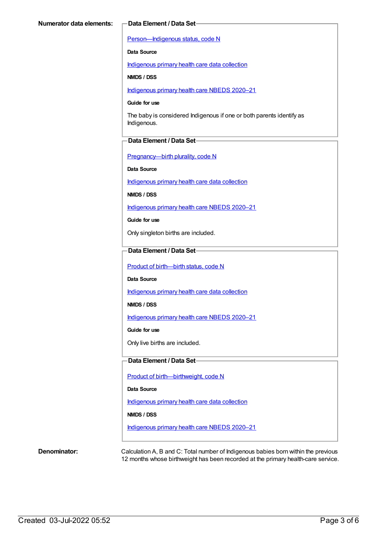[Person—Indigenous](https://meteor.aihw.gov.au/content/602543) status, code N

**Data Source**

[Indigenous](https://meteor.aihw.gov.au/content/430643) primary health care data collection

**NMDS / DSS**

[Indigenous](https://meteor.aihw.gov.au/content/715320) primary health care NBEDS 2020–21

#### **Guide for use**

The baby is considered Indigenous if one or both parents identify as Indigenous.

#### **Data Element / Data Set**

[Pregnancy—birth](https://meteor.aihw.gov.au/content/695308) plurality, code N

**Data Source**

[Indigenous](https://meteor.aihw.gov.au/content/430643) primary health care data collection

**NMDS / DSS**

[Indigenous](https://meteor.aihw.gov.au/content/715320) primary health care NBEDS 2020–21

**Guide for use**

Only singleton births are included.

#### **Data Element / Data Set**

Product of [birth—birth](https://meteor.aihw.gov.au/content/695437) status, code N

**Data Source**

[Indigenous](https://meteor.aihw.gov.au/content/430643) primary health care data collection

**NMDS / DSS**

[Indigenous](https://meteor.aihw.gov.au/content/715320) primary health care NBEDS 2020–21

**Guide for use**

Only live births are included.

#### **Data Element / Data Set**

Product of [birth—birthweight,](https://meteor.aihw.gov.au/content/709560) code N

**Data Source**

[Indigenous](https://meteor.aihw.gov.au/content/430643) primary health care data collection

#### **NMDS / DSS**

[Indigenous](https://meteor.aihw.gov.au/content/715320) primary health care NBEDS 2020–21

**Denominator:** Calculation A, B and C: Total number of Indigenous babies born within the previous 12 months whose birthweight has been recorded at the primary health-care service.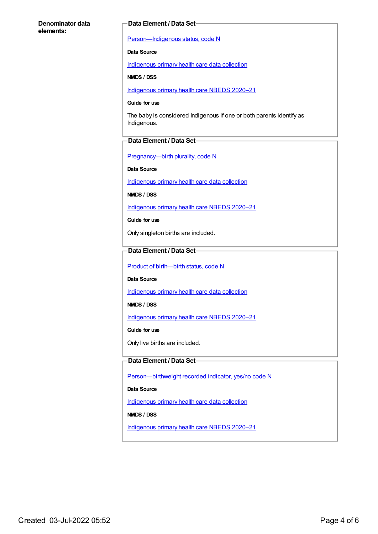#### **Denominator data elements:**

#### **Data Element / Data Set**

[Person—Indigenous](https://meteor.aihw.gov.au/content/602543) status, code N

#### **Data Source**

[Indigenous](https://meteor.aihw.gov.au/content/430643) primary health care data collection

**NMDS / DSS**

[Indigenous](https://meteor.aihw.gov.au/content/715320) primary health care NBEDS 2020–21

#### **Guide for use**

The baby is considered Indigenous if one or both parents identify as Indigenous.

#### **Data Element / Data Set**

[Pregnancy—birth](https://meteor.aihw.gov.au/content/695308) plurality, code N

**Data Source**

[Indigenous](https://meteor.aihw.gov.au/content/430643) primary health care data collection

**NMDS / DSS**

[Indigenous](https://meteor.aihw.gov.au/content/715320) primary health care NBEDS 2020–21

**Guide for use**

Only singleton births are included.

### **Data Element / Data Set**

Product of [birth—birth](https://meteor.aihw.gov.au/content/695437) status, code N

**Data Source**

[Indigenous](https://meteor.aihw.gov.au/content/430643) primary health care data collection

**NMDS / DSS**

[Indigenous](https://meteor.aihw.gov.au/content/715320) primary health care NBEDS 2020-21

**Guide for use**

Only live births are included.

#### **Data Element / Data Set**

[Person—birthweight](https://meteor.aihw.gov.au/content/709571) recorded indicator, yes/no code N

**Data Source**

[Indigenous](https://meteor.aihw.gov.au/content/430643) primary health care data collection

**NMDS / DSS**

[Indigenous](https://meteor.aihw.gov.au/content/715320) primary health care NBEDS 2020–21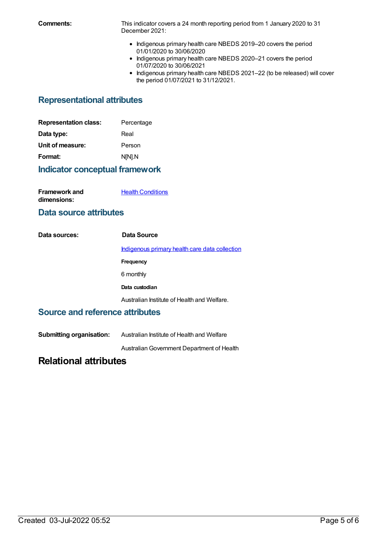**Comments:** This indicator covers a 24 month reporting period from 1 January 2020 to 31 December 2021:

- Indigenous primary health care NBEDS 2019-20 covers the period 01/01/2020 to 30/06/2020
- Indigenous primary health care NBEDS 2020-21 covers the period 01/07/2020 to 30/06/2021
- Indigenous primary health care NBEDS 2021-22 (to be released) will cover the period 01/07/2021 to 31/12/2021.

## **Representational attributes**

| <b>Representation class:</b> | Percentage |
|------------------------------|------------|
| Data type:                   | Real       |
| Unit of measure:             | Person     |
| Format:                      | N[N].N     |

## **Indicator conceptual framework**

| <b>Framework and</b> | <b>Health Conditions</b> |
|----------------------|--------------------------|
| dimensions:          |                          |

## **Data source attributes**

| Data sources: | Data Source                                    |
|---------------|------------------------------------------------|
|               | Indigenous primary health care data collection |
|               | Frequency                                      |
|               | 6 monthly                                      |
|               | Data custodian                                 |
|               | Australian Institute of Health and Welfare.    |

## **Source and reference attributes**

**Submitting organisation:** Australian Institute of Health and Welfare

AustralianGovernment Department of Health

## **Relational attributes**